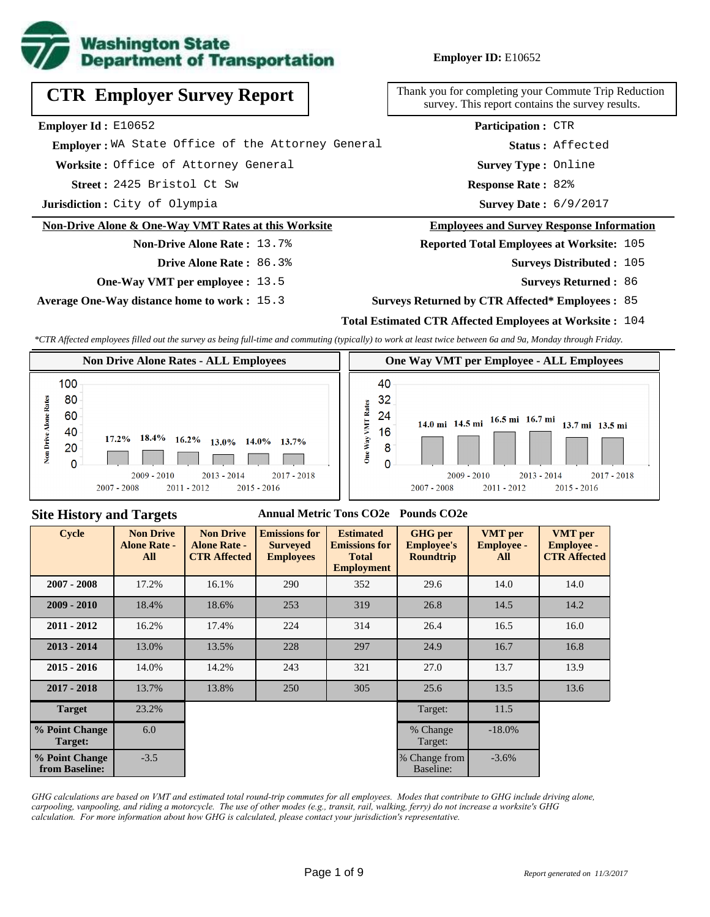

# **CTR Employer Survey Report**

**Employer Id :** E10652

 **Employer :** WA State Office of the Attorney General

**Worksite :** Office of Attorney General

2425 Bristol Ct Sw **Response Rate : Street :**

**Jurisdiction :** City of Olympia

#### **Non-Drive Alone & One-Way VMT Rates at this Worksite**

# **Non-Drive Alone Rate :** 13.7%

- **Drive Alone Rate :** 86.3%
- **One-Way VMT per employee :** 13.5

**Average One-Way distance home to work :** 15.3

Thank you for completing your Commute Trip Reduction survey. This report contains the survey results.

> Response Rate: 82% **Survey Type :** Online **Status :** Affected **Participation :** CTR

Survey Date: 6/9/2017

#### **Employees and Survey Response Information**

**Reported Total Employees at Worksite:** 105

- Surveys Distributed : 105
	- **Surveys Returned :** 86

#### **Surveys Returned by CTR Affected\* Employees :** 85

### **Total Estimated CTR Affected Employees at Worksite :** 104

*\*CTR Affected employees filled out the survey as being full-time and commuting (typically) to work at least twice between 6a and 9a, Monday through Friday.*



### **Site History and Targets**

#### **Annual Metric Tons CO2e Pounds CO2e**

| <b>Cycle</b>                     | <b>Non Drive</b><br><b>Alone Rate -</b><br>All | <b>Non Drive</b><br><b>Alone Rate -</b><br><b>CTR Affected</b> | <b>Emissions for</b><br><b>Surveyed</b><br><b>Employees</b> | <b>Estimated</b><br><b>Emissions for</b><br><b>Total</b><br><b>Employment</b> | <b>GHG</b> per<br><b>Employee's</b><br><b>Roundtrip</b> | <b>VMT</b> per<br><b>Employee -</b><br>All | <b>VMT</b> per<br><b>Employee -</b><br><b>CTR Affected</b> |
|----------------------------------|------------------------------------------------|----------------------------------------------------------------|-------------------------------------------------------------|-------------------------------------------------------------------------------|---------------------------------------------------------|--------------------------------------------|------------------------------------------------------------|
| $2007 - 2008$                    | 17.2%                                          | 290<br>16.1%                                                   |                                                             | 352                                                                           | 29.6                                                    | 14.0                                       | 14.0                                                       |
| $2009 - 2010$                    | 18.4%                                          | 18.6%                                                          | 253                                                         | 319                                                                           | 26.8                                                    | 14.5                                       | 14.2                                                       |
| $2011 - 2012$                    | 16.2%                                          | 17.4%                                                          | 224                                                         | 314                                                                           | 26.4                                                    | 16.5                                       | 16.0                                                       |
| $2013 - 2014$                    | 13.0%                                          | 13.5%                                                          | 228                                                         | 297                                                                           | 24.9                                                    | 16.7                                       | 16.8                                                       |
| $2015 - 2016$                    | 14.0%                                          | 14.2%                                                          | 243                                                         | 321                                                                           | 27.0                                                    | 13.7                                       | 13.9                                                       |
| $2017 - 2018$                    | 13.7%                                          | 13.8%                                                          | 250                                                         | 305                                                                           | 25.6                                                    | 13.5                                       | 13.6                                                       |
| <b>Target</b>                    | 23.2%                                          |                                                                |                                                             |                                                                               | Target:                                                 | 11.5                                       |                                                            |
| % Point Change<br>Target:        | 6.0                                            |                                                                |                                                             |                                                                               | % Change<br>Target:                                     | $-18.0%$                                   |                                                            |
| % Point Change<br>from Baseline: | $-3.5$                                         |                                                                |                                                             |                                                                               | % Change from<br>Baseline:                              | $-3.6\%$                                   |                                                            |

*GHG calculations are based on VMT and estimated total round-trip commutes for all employees. Modes that contribute to GHG include driving alone, carpooling, vanpooling, and riding a motorcycle. The use of other modes (e.g., transit, rail, walking, ferry) do not increase a worksite's GHG calculation. For more information about how GHG is calculated, please contact your jurisdiction's representative.*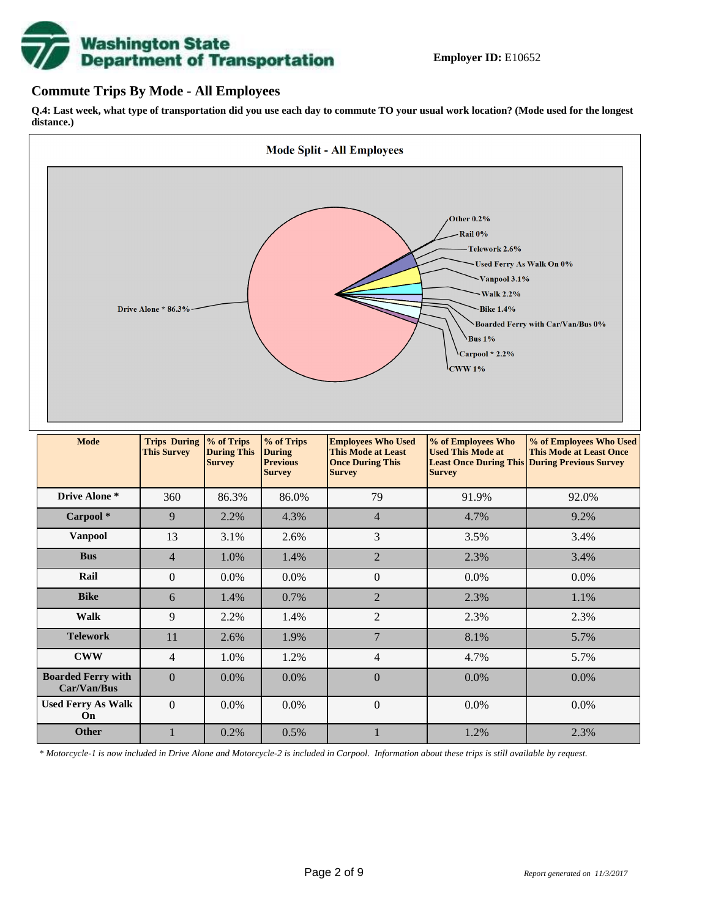

### **Commute Trips By Mode - All Employees**

**Q.4: Last week, what type of transportation did you use each day to commute TO your usual work location? (Mode used for the longest distance.)**



*\* Motorcycle-1 is now included in Drive Alone and Motorcycle-2 is included in Carpool. Information about these trips is still available by request.*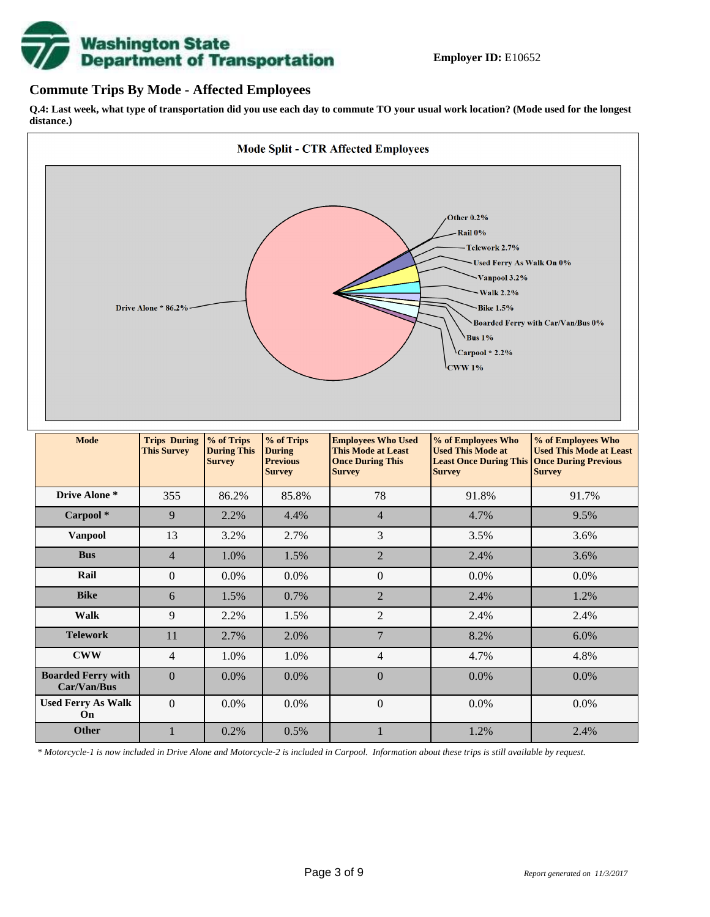

## **Commute Trips By Mode - Affected Employees**

**Q.4: Last week, what type of transportation did you use each day to commute TO your usual work location? (Mode used for the longest distance.)**



*\* Motorcycle-1 is now included in Drive Alone and Motorcycle-2 is included in Carpool. Information about these trips is still available by request.*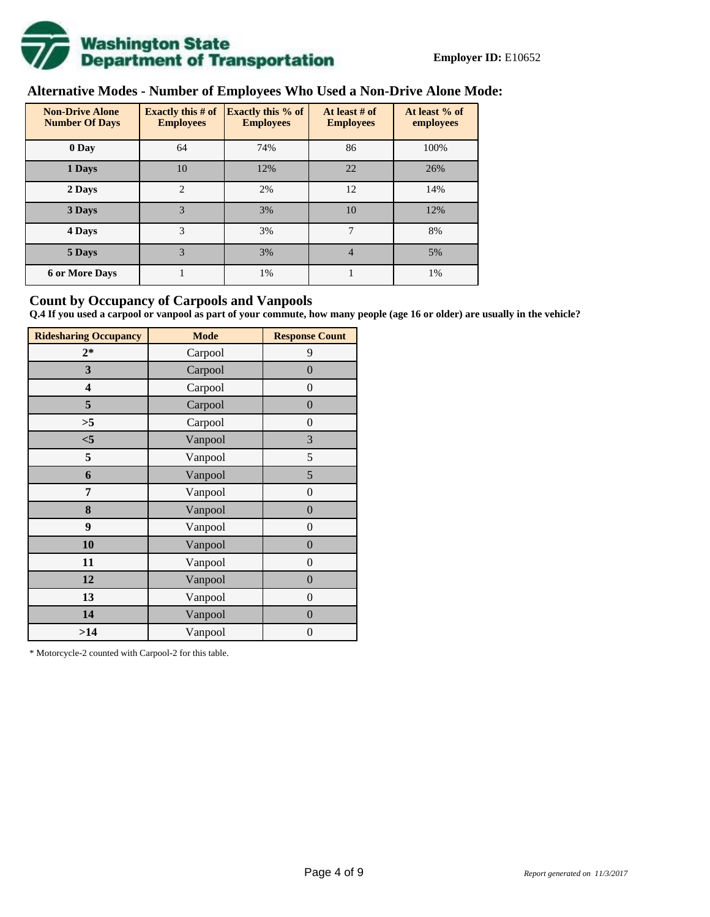

## **Alternative Modes - Number of Employees Who Used a Non-Drive Alone Mode:**

| <b>Non-Drive Alone</b><br><b>Number Of Days</b> | <b>Exactly this # of</b><br><b>Employees</b> | <b>Exactly this % of</b><br><b>Employees</b> | At least # of<br><b>Employees</b> | At least % of<br>employees |
|-------------------------------------------------|----------------------------------------------|----------------------------------------------|-----------------------------------|----------------------------|
| 0 Day                                           | 64                                           | 74%                                          | 86                                | 100%                       |
| 1 Days                                          | 10                                           | 12%                                          | 22                                | 26%                        |
| 2 Days                                          | $\overline{c}$                               | 2%                                           | 12                                | 14%                        |
| 3 Days                                          | 3                                            | 3%                                           | 10                                | 12%                        |
| 4 Days                                          | 3                                            | 3%                                           | 7                                 | 8%                         |
| 5 Days                                          | 3                                            | 3%                                           | $\overline{4}$                    | 5%                         |
| <b>6 or More Days</b>                           |                                              | 1%                                           |                                   | 1%                         |

## **Count by Occupancy of Carpools and Vanpools**

**Q.4 If you used a carpool or vanpool as part of your commute, how many people (age 16 or older) are usually in the vehicle?**

| <b>Ridesharing Occupancy</b> | <b>Mode</b> | <b>Response Count</b> |
|------------------------------|-------------|-----------------------|
| $2*$                         | Carpool     | 9                     |
| 3                            | Carpool     | $\boldsymbol{0}$      |
| 4                            | Carpool     | $\boldsymbol{0}$      |
| 5                            | Carpool     | $\boldsymbol{0}$      |
| >5                           | Carpool     | $\overline{0}$        |
| $<$ 5                        | Vanpool     | 3                     |
| 5                            | Vanpool     | 5                     |
| 6                            | Vanpool     | 5                     |
| 7                            | Vanpool     | $\boldsymbol{0}$      |
| 8                            | Vanpool     | $\boldsymbol{0}$      |
| 9                            | Vanpool     | $\overline{0}$        |
| 10                           | Vanpool     | $\overline{0}$        |
| 11                           | Vanpool     | $\boldsymbol{0}$      |
| 12                           | Vanpool     | $\boldsymbol{0}$      |
| 13                           | Vanpool     | $\boldsymbol{0}$      |
| 14                           | Vanpool     | $\overline{0}$        |
| >14                          | Vanpool     | $\boldsymbol{0}$      |

\* Motorcycle-2 counted with Carpool-2 for this table.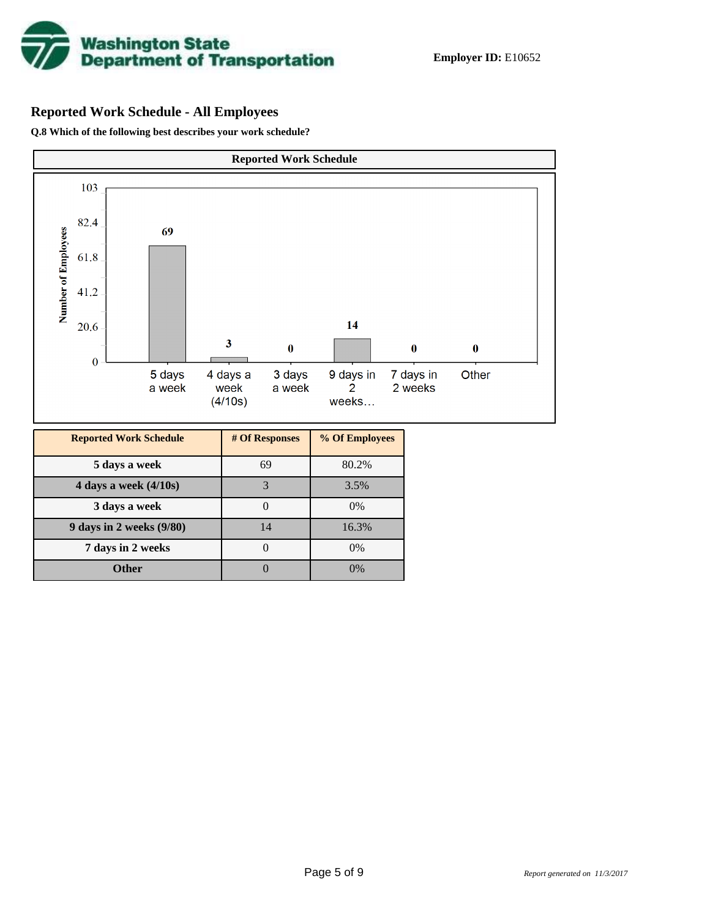

## **Reported Work Schedule - All Employees**

**Q.8 Which of the following best describes your work schedule?**

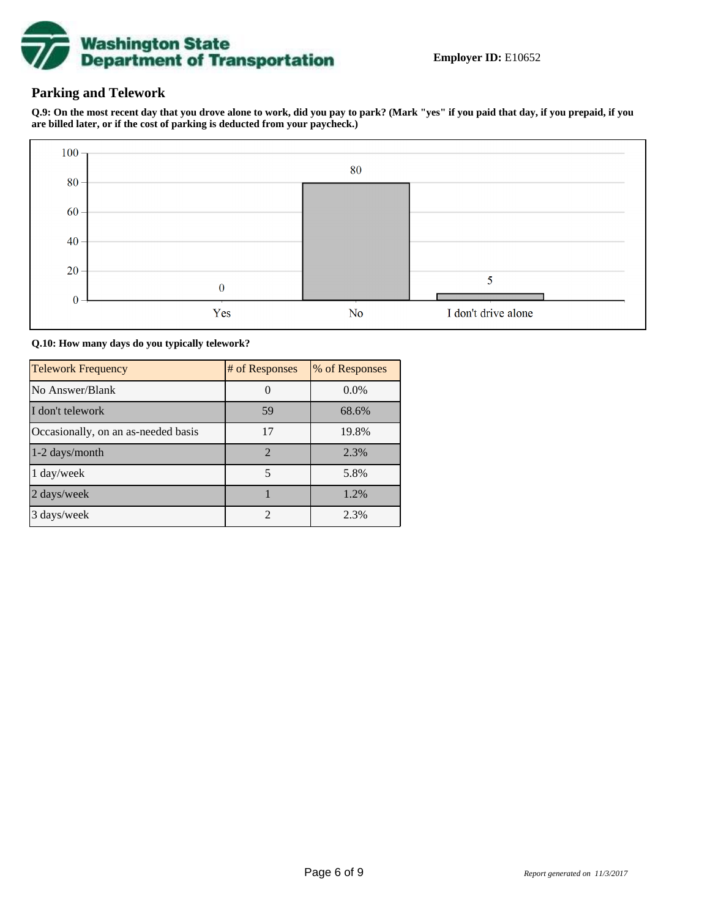

## **Parking and Telework**

**Q.9: On the most recent day that you drove alone to work, did you pay to park? (Mark "yes" if you paid that day, if you prepaid, if you are billed later, or if the cost of parking is deducted from your paycheck.)**



**Q.10: How many days do you typically telework?**

| <b>Telework Frequency</b>           | # of Responses | % of Responses |
|-------------------------------------|----------------|----------------|
| No Answer/Blank                     |                | $0.0\%$        |
| I don't telework                    | 59             | 68.6%          |
| Occasionally, on an as-needed basis | 17             | 19.8%          |
| 1-2 days/month                      | $\mathcal{D}$  | 2.3%           |
| 1 day/week                          | 5              | 5.8%           |
| 2 days/week                         |                | 1.2%           |
| 3 days/week                         | $\mathfrak{D}$ | 2.3%           |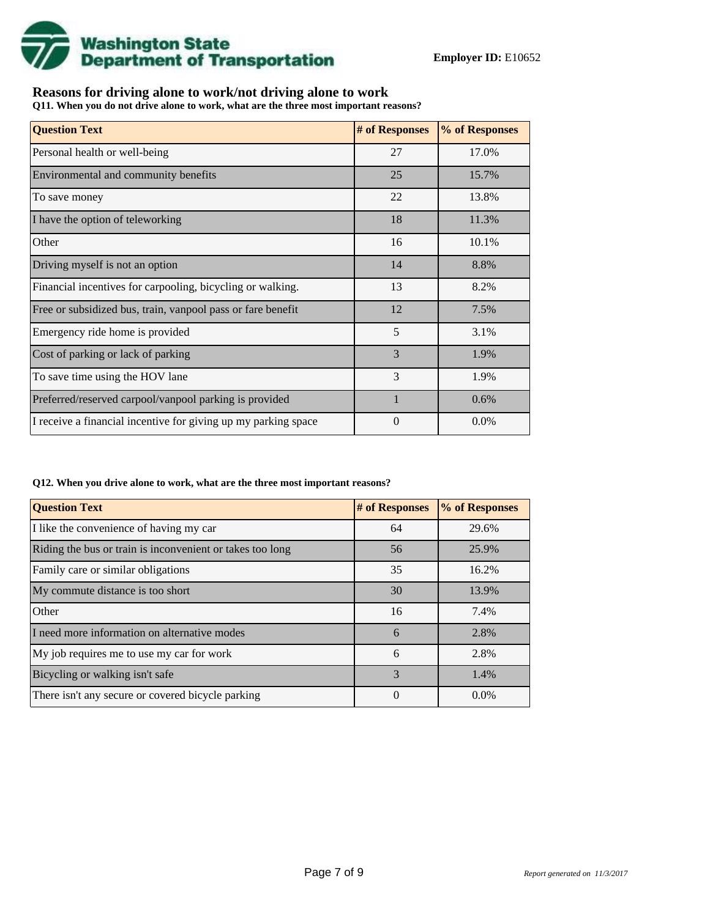

## **Reasons for driving alone to work/not driving alone to work**

**Q11. When you do not drive alone to work, what are the three most important reasons?**

| <b>Question Text</b>                                           | # of Responses | % of Responses |
|----------------------------------------------------------------|----------------|----------------|
| Personal health or well-being                                  | 27             | 17.0%          |
| Environmental and community benefits                           | 25             | 15.7%          |
| To save money                                                  | 22             | 13.8%          |
| I have the option of teleworking                               | 18             | 11.3%          |
| Other                                                          | 16             | 10.1%          |
| Driving myself is not an option                                | 14             | 8.8%           |
| Financial incentives for carpooling, bicycling or walking.     | 13             | 8.2%           |
| Free or subsidized bus, train, vanpool pass or fare benefit    | 12             | 7.5%           |
| Emergency ride home is provided                                | 5              | 3.1%           |
| Cost of parking or lack of parking                             | 3              | 1.9%           |
| To save time using the HOV lane                                | 3              | 1.9%           |
| Preferred/reserved carpool/vanpool parking is provided         | $\mathbf{1}$   | 0.6%           |
| I receive a financial incentive for giving up my parking space | 0              | $0.0\%$        |

#### **Q12. When you drive alone to work, what are the three most important reasons?**

| <b>Question Text</b>                                      | # of Responses | % of Responses |
|-----------------------------------------------------------|----------------|----------------|
| I like the convenience of having my car                   | 64             | 29.6%          |
| Riding the bus or train is inconvenient or takes too long | 56             | 25.9%          |
| Family care or similar obligations                        | 35             | 16.2%          |
| My commute distance is too short                          | 30             | 13.9%          |
| Other                                                     | 16             | 7.4%           |
| I need more information on alternative modes              | 6              | 2.8%           |
| My job requires me to use my car for work                 | 6              | 2.8%           |
| Bicycling or walking isn't safe                           | $\mathcal{R}$  | 1.4%           |
| There isn't any secure or covered bicycle parking         | 0              | $0.0\%$        |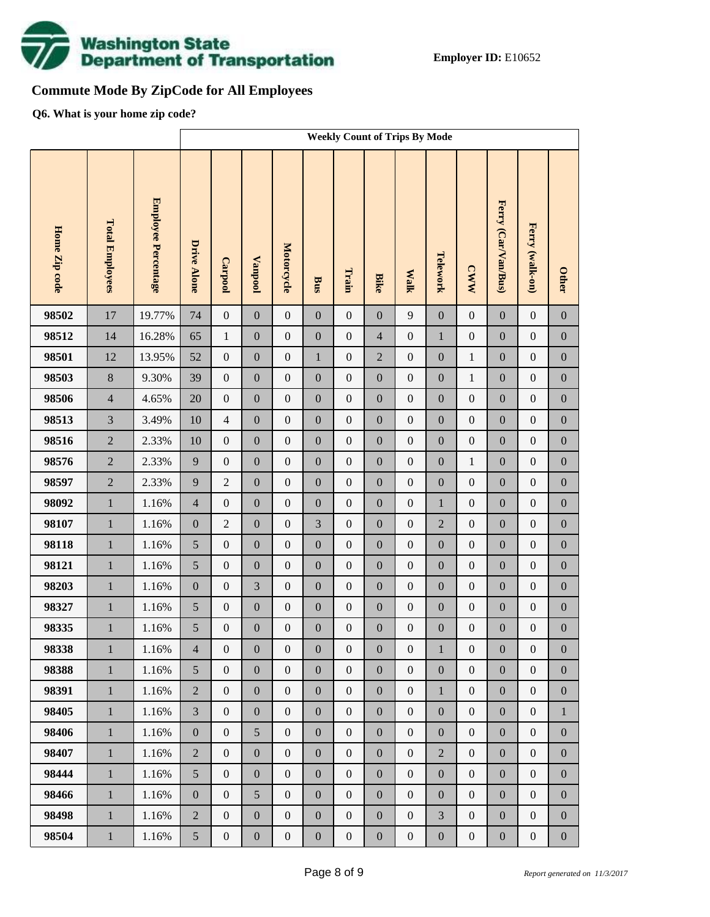

## **Commute Mode By ZipCode for All Employees**

**Q6. What is your home zip code?**

|               |                        |                            | <b>Weekly Count of Trips By Mode</b> |                  |                  |                  |                  |                  |                  |                  |                  |                  |                     |                  |                  |
|---------------|------------------------|----------------------------|--------------------------------------|------------------|------------------|------------------|------------------|------------------|------------------|------------------|------------------|------------------|---------------------|------------------|------------------|
| Home Zip code | <b>Total Employees</b> | <b>Employee Percentage</b> | <b>Drive Alone</b>                   | Carpool          | <b>Vanpool</b>   | Motorcycle       | Bus              | Train            | <b>Bike</b>      | <b>Walk</b>      | Telework         | <b>CWW</b>       | Ferry (Car/Van/Bus) | Ferry (walk-on)  | <b>Other</b>     |
| 98502         | 17                     | 19.77%                     | 74                                   | $\boldsymbol{0}$ | $\boldsymbol{0}$ | $\boldsymbol{0}$ | $\boldsymbol{0}$ | $\boldsymbol{0}$ | $\overline{0}$   | 9                | $\boldsymbol{0}$ | $\boldsymbol{0}$ | $\mathbf{0}$        | $\boldsymbol{0}$ | $\boldsymbol{0}$ |
| 98512         | 14                     | 16.28%                     | 65                                   | $\mathbf{1}$     | $\boldsymbol{0}$ | $\boldsymbol{0}$ | $\boldsymbol{0}$ | $\boldsymbol{0}$ | $\overline{4}$   | $\boldsymbol{0}$ | $\mathbf{1}$     | $\boldsymbol{0}$ | $\boldsymbol{0}$    | $\boldsymbol{0}$ | $\boldsymbol{0}$ |
| 98501         | 12                     | 13.95%                     | 52                                   | $\boldsymbol{0}$ | $\boldsymbol{0}$ | $\boldsymbol{0}$ | $\mathbf{1}$     | $\boldsymbol{0}$ | $\overline{2}$   | $\boldsymbol{0}$ | $\boldsymbol{0}$ | $\,1$            | $\boldsymbol{0}$    | $\boldsymbol{0}$ | $\boldsymbol{0}$ |
| 98503         | 8                      | 9.30%                      | 39                                   | $\boldsymbol{0}$ | $\boldsymbol{0}$ | $\boldsymbol{0}$ | $\boldsymbol{0}$ | $\boldsymbol{0}$ | $\overline{0}$   | $\boldsymbol{0}$ | $\boldsymbol{0}$ | $\mathbf{1}$     | $\boldsymbol{0}$    | $\boldsymbol{0}$ | $\boldsymbol{0}$ |
| 98506         | $\overline{4}$         | 4.65%                      | 20                                   | $\boldsymbol{0}$ | $\boldsymbol{0}$ | $\boldsymbol{0}$ | $\boldsymbol{0}$ | $\boldsymbol{0}$ | $\boldsymbol{0}$ | $\boldsymbol{0}$ | $\boldsymbol{0}$ | $\boldsymbol{0}$ | $\boldsymbol{0}$    | $\boldsymbol{0}$ | $\boldsymbol{0}$ |
| 98513         | $\overline{3}$         | 3.49%                      | 10                                   | $\overline{4}$   | $\boldsymbol{0}$ | $\boldsymbol{0}$ | $\boldsymbol{0}$ | $\boldsymbol{0}$ | $\overline{0}$   | $\boldsymbol{0}$ | $\boldsymbol{0}$ | $\boldsymbol{0}$ | $\boldsymbol{0}$    | $\boldsymbol{0}$ | $\boldsymbol{0}$ |
| 98516         | $\overline{2}$         | 2.33%                      | 10                                   | $\boldsymbol{0}$ | $\boldsymbol{0}$ | $\boldsymbol{0}$ | $\boldsymbol{0}$ | $\boldsymbol{0}$ | $\boldsymbol{0}$ | $\boldsymbol{0}$ | $\boldsymbol{0}$ | $\boldsymbol{0}$ | $\boldsymbol{0}$    | $\boldsymbol{0}$ | $\boldsymbol{0}$ |
| 98576         | $\overline{2}$         | 2.33%                      | 9                                    | $\boldsymbol{0}$ | $\boldsymbol{0}$ | $\boldsymbol{0}$ | $\boldsymbol{0}$ | $\boldsymbol{0}$ | $\overline{0}$   | $\boldsymbol{0}$ | $\boldsymbol{0}$ | $\mathbf{1}$     | $\boldsymbol{0}$    | $\boldsymbol{0}$ | $\boldsymbol{0}$ |
| 98597         | $\overline{2}$         | 2.33%                      | 9                                    | $\sqrt{2}$       | $\boldsymbol{0}$ | $\boldsymbol{0}$ | $\boldsymbol{0}$ | $\boldsymbol{0}$ | $\boldsymbol{0}$ | $\boldsymbol{0}$ | $\boldsymbol{0}$ | $\boldsymbol{0}$ | $\boldsymbol{0}$    | $\boldsymbol{0}$ | $\boldsymbol{0}$ |
| 98092         | $\mathbf 1$            | 1.16%                      | $\overline{4}$                       | $\boldsymbol{0}$ | $\boldsymbol{0}$ | $\boldsymbol{0}$ | $\boldsymbol{0}$ | $\boldsymbol{0}$ | $\overline{0}$   | $\boldsymbol{0}$ | $\mathbf{1}$     | $\boldsymbol{0}$ | $\boldsymbol{0}$    | $\boldsymbol{0}$ | $\boldsymbol{0}$ |
| 98107         | $\mathbf{1}$           | 1.16%                      | $\boldsymbol{0}$                     | $\sqrt{2}$       | $\boldsymbol{0}$ | $\boldsymbol{0}$ | 3                | $\boldsymbol{0}$ | $\boldsymbol{0}$ | $\boldsymbol{0}$ | $\overline{2}$   | $\boldsymbol{0}$ | $\boldsymbol{0}$    | $\boldsymbol{0}$ | $\boldsymbol{0}$ |
| 98118         | $\mathbf 1$            | 1.16%                      | 5                                    | $\boldsymbol{0}$ | $\boldsymbol{0}$ | $\boldsymbol{0}$ | $\boldsymbol{0}$ | $\boldsymbol{0}$ | $\boldsymbol{0}$ | $\boldsymbol{0}$ | $\boldsymbol{0}$ | $\boldsymbol{0}$ | $\boldsymbol{0}$    | $\boldsymbol{0}$ | $\boldsymbol{0}$ |
| 98121         | $\mathbf 1$            | 1.16%                      | 5                                    | $\boldsymbol{0}$ | $\boldsymbol{0}$ | $\boldsymbol{0}$ | $\boldsymbol{0}$ | $\boldsymbol{0}$ | $\boldsymbol{0}$ | $\boldsymbol{0}$ | $\boldsymbol{0}$ | $\boldsymbol{0}$ | $\boldsymbol{0}$    | $\boldsymbol{0}$ | $\boldsymbol{0}$ |
| 98203         | $\mathbf 1$            | 1.16%                      | $\boldsymbol{0}$                     | $\boldsymbol{0}$ | 3                | $\boldsymbol{0}$ | $\boldsymbol{0}$ | $\boldsymbol{0}$ | $\overline{0}$   | $\boldsymbol{0}$ | $\boldsymbol{0}$ | $\boldsymbol{0}$ | $\boldsymbol{0}$    | $\boldsymbol{0}$ | $\boldsymbol{0}$ |
| 98327         | $\mathbf 1$            | 1.16%                      | $\sqrt{5}$                           | $\boldsymbol{0}$ | $\boldsymbol{0}$ | $\boldsymbol{0}$ | $\boldsymbol{0}$ | $\boldsymbol{0}$ | $\boldsymbol{0}$ | $\boldsymbol{0}$ | $\boldsymbol{0}$ | $\boldsymbol{0}$ | $\boldsymbol{0}$    | $\boldsymbol{0}$ | $\boldsymbol{0}$ |
| 98335         | $\,1$                  | 1.16%                      | 5                                    | $\boldsymbol{0}$ | $\boldsymbol{0}$ | $\boldsymbol{0}$ | $\boldsymbol{0}$ | $\boldsymbol{0}$ | $\mathbf{0}$     | $\boldsymbol{0}$ | $\boldsymbol{0}$ | $\boldsymbol{0}$ | $\boldsymbol{0}$    | $\boldsymbol{0}$ | $\boldsymbol{0}$ |
| 98338         | $\mathbf{1}$           | 1.16%                      | $\overline{4}$                       | $\boldsymbol{0}$ | $\boldsymbol{0}$ | $\boldsymbol{0}$ | $\boldsymbol{0}$ | $\boldsymbol{0}$ | $\boldsymbol{0}$ | $\mathbf{0}$     | $\mathbf{1}$     | $\boldsymbol{0}$ | $\boldsymbol{0}$    | $\boldsymbol{0}$ | $\boldsymbol{0}$ |
| 98388         | $\mathbf{1}$           | 1.16%                      | 5                                    | $\overline{0}$   | $\boldsymbol{0}$ | $\boldsymbol{0}$ | $\boldsymbol{0}$ | $\boldsymbol{0}$ | $\overline{0}$   | $\boldsymbol{0}$ | $\boldsymbol{0}$ | $\boldsymbol{0}$ | $\boldsymbol{0}$    | $\boldsymbol{0}$ | $\overline{0}$   |
| 98391         | $\,1\,$                | 1.16%                      | $\overline{2}$                       | $\boldsymbol{0}$ | $\boldsymbol{0}$ | $\boldsymbol{0}$ | $\boldsymbol{0}$ | $\boldsymbol{0}$ | $\boldsymbol{0}$ | $\boldsymbol{0}$ | $\mathbf{1}$     | $\boldsymbol{0}$ | $\boldsymbol{0}$    | $\boldsymbol{0}$ | $\boldsymbol{0}$ |
| 98405         | $\mathbf{1}$           | 1.16%                      | $\overline{3}$                       | $\boldsymbol{0}$ | $\boldsymbol{0}$ | $\boldsymbol{0}$ | $\boldsymbol{0}$ | $\boldsymbol{0}$ | $\boldsymbol{0}$ | $\boldsymbol{0}$ | $\boldsymbol{0}$ | $\boldsymbol{0}$ | $\boldsymbol{0}$    | $\boldsymbol{0}$ | $\mathbf{1}$     |
| 98406         | $\mathbf{1}$           | 1.16%                      | $\boldsymbol{0}$                     | $\boldsymbol{0}$ | 5                | $\boldsymbol{0}$ | $\boldsymbol{0}$ | $\boldsymbol{0}$ | $\overline{0}$   | $\boldsymbol{0}$ | $\boldsymbol{0}$ | $\boldsymbol{0}$ | $\boldsymbol{0}$    | $\boldsymbol{0}$ | $\boldsymbol{0}$ |
| 98407         | $\mathbf{1}$           | 1.16%                      | $\sqrt{2}$                           | $\boldsymbol{0}$ | $\boldsymbol{0}$ | $\boldsymbol{0}$ | $\boldsymbol{0}$ | $\boldsymbol{0}$ | $\boldsymbol{0}$ | $\boldsymbol{0}$ | $\overline{2}$   | $\boldsymbol{0}$ | $\boldsymbol{0}$    | $\boldsymbol{0}$ | $\boldsymbol{0}$ |
| 98444         | $\mathbf{1}$           | 1.16%                      | 5                                    | $\boldsymbol{0}$ | $\boldsymbol{0}$ | $\boldsymbol{0}$ | $\boldsymbol{0}$ | $\boldsymbol{0}$ | $\overline{0}$   | $\boldsymbol{0}$ | $\boldsymbol{0}$ | $\boldsymbol{0}$ | $\boldsymbol{0}$    | $\boldsymbol{0}$ | $\boldsymbol{0}$ |
| 98466         | $\,1\,$                | 1.16%                      | $\boldsymbol{0}$                     | $\boldsymbol{0}$ | 5                | $\boldsymbol{0}$ | $\boldsymbol{0}$ | $\boldsymbol{0}$ | $\boldsymbol{0}$ | $\boldsymbol{0}$ | $\boldsymbol{0}$ | $\boldsymbol{0}$ | $\boldsymbol{0}$    | $\boldsymbol{0}$ | $\boldsymbol{0}$ |
| 98498         | $\mathbf{1}$           | 1.16%                      | $\overline{2}$                       | $\boldsymbol{0}$ | $\boldsymbol{0}$ | $\boldsymbol{0}$ | $\boldsymbol{0}$ | $\boldsymbol{0}$ | $\overline{0}$   | $\boldsymbol{0}$ | 3                | $\boldsymbol{0}$ | $\boldsymbol{0}$    | $\boldsymbol{0}$ | $\boldsymbol{0}$ |
| 98504         | $1\,$                  | 1.16%                      | 5                                    | $\boldsymbol{0}$ | $\boldsymbol{0}$ | $\boldsymbol{0}$ | $\boldsymbol{0}$ | $\boldsymbol{0}$ | $\boldsymbol{0}$ | $\boldsymbol{0}$ | $\boldsymbol{0}$ | $\boldsymbol{0}$ | $\boldsymbol{0}$    | $\boldsymbol{0}$ | $\boldsymbol{0}$ |